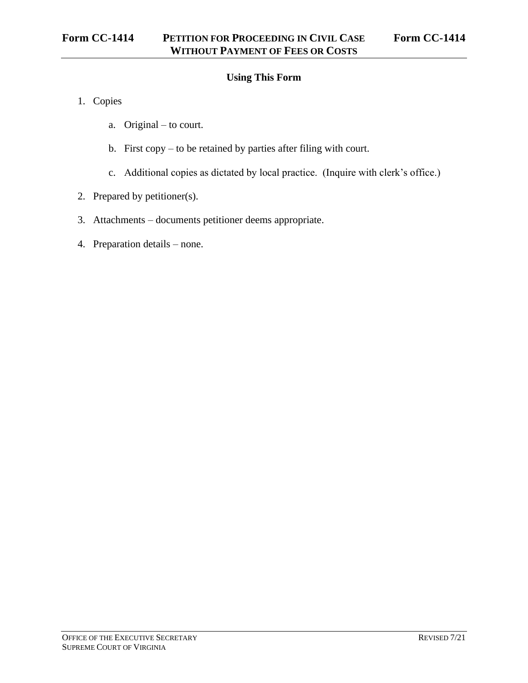# **Using This Form**

- 1. Copies
	- a. Original to court.
	- b. First copy to be retained by parties after filing with court.
	- c. Additional copies as dictated by local practice. (Inquire with clerk's office.)
- 2. Prepared by petitioner(s).
- 3. Attachments documents petitioner deems appropriate.
- 4. Preparation details none.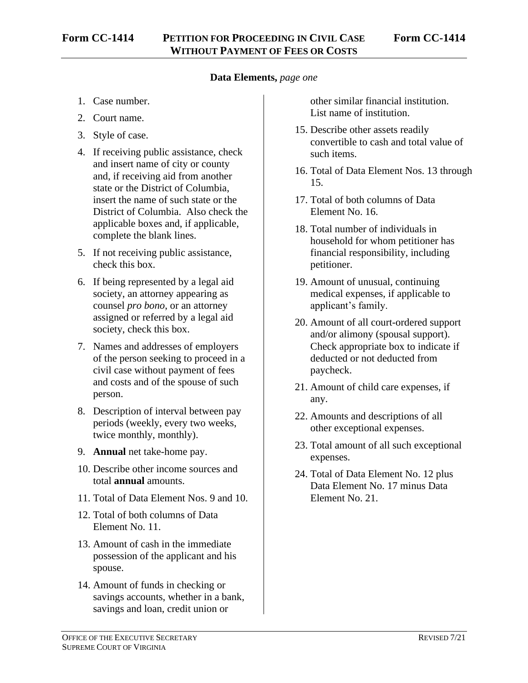### **Data Elements,** *page one*

- 1. Case number.
- 2. Court name.
- 3. Style of case.
- 4. If receiving public assistance, check and insert name of city or county and, if receiving aid from another state or the District of Columbia, insert the name of such state or the District of Columbia. Also check the applicable boxes and, if applicable, complete the blank lines.
- 5. If not receiving public assistance, check this box.
- 6. If being represented by a legal aid society, an attorney appearing as counsel *pro bono*, or an attorney assigned or referred by a legal aid society, check this box.
- 7. Names and addresses of employers of the person seeking to proceed in a civil case without payment of fees and costs and of the spouse of such person.
- 8. Description of interval between pay periods (weekly, every two weeks, twice monthly, monthly).
- 9. **Annual** net take-home pay.
- 10. Describe other income sources and total **annual** amounts.
- 11. Total of Data Element Nos. 9 and 10.
- 12. Total of both columns of Data Element No. 11.
- 13. Amount of cash in the immediate possession of the applicant and his spouse.
- 14. Amount of funds in checking or savings accounts, whether in a bank, savings and loan, credit union or

other similar financial institution. List name of institution.

- 15. Describe other assets readily convertible to cash and total value of such items.
- 16. Total of Data Element Nos. 13 through 15.
- 17. Total of both columns of Data Element No. 16.
- 18. Total number of individuals in household for whom petitioner has financial responsibility, including petitioner.
- 19. Amount of unusual, continuing medical expenses, if applicable to applicant's family.
- 20. Amount of all court-ordered support and/or alimony (spousal support). Check appropriate box to indicate if deducted or not deducted from paycheck.
- 21. Amount of child care expenses, if any.
- 22. Amounts and descriptions of all other exceptional expenses.
- 23. Total amount of all such exceptional expenses.
- 24. Total of Data Element No. 12 plus Data Element No. 17 minus Data Element No. 21.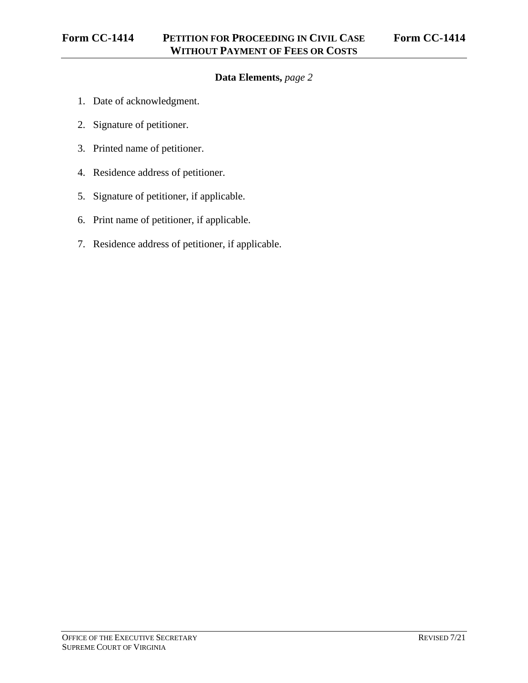# **Data Elements,** *page 2*

- 1. Date of acknowledgment.
- 2. Signature of petitioner.
- 3. Printed name of petitioner.
- 4. Residence address of petitioner.
- 5. Signature of petitioner, if applicable.
- 6. Print name of petitioner, if applicable.
- 7. Residence address of petitioner, if applicable.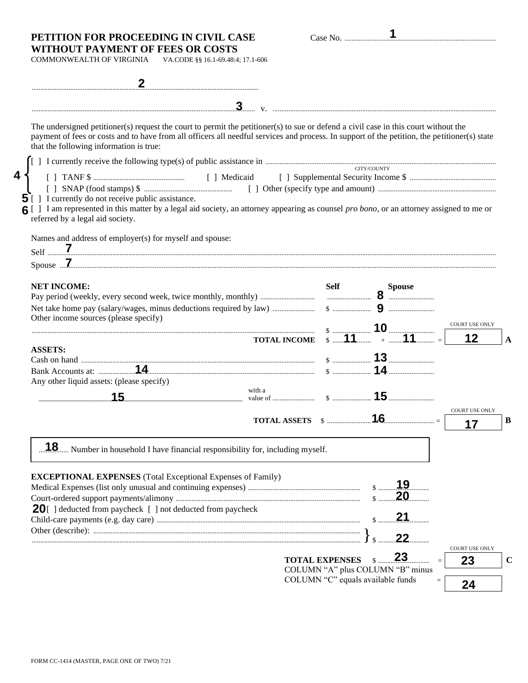#### **PETITION FOR PROCEEDING IN CIVIL CASE** Case No. ...................................................................................... **WITHOUT PAYMENT OF FEES OR COSTS**

**4**

| ase No. |  |
|---------|--|

COMMONWEALTH OF VIRGINIA VA.CODE §§ 16.1-69.48:4; 17.1-606

| The undersigned petitioner(s) request the court to permit the petitioner(s) to sue or defend a civil case in this court without the<br>payment of fees or costs and to have from all officers all needful services and process. In support of the petition, the petitioner(s) state<br>that the following information is true: |                       |                                      |                             |
|--------------------------------------------------------------------------------------------------------------------------------------------------------------------------------------------------------------------------------------------------------------------------------------------------------------------------------|-----------------------|--------------------------------------|-----------------------------|
|                                                                                                                                                                                                                                                                                                                                |                       |                                      |                             |
| $\overline{5}$ [ ] I currently do not receive public assistance.<br>6 [ ] I am represented in this matter by a legal aid society, an attorney appearing as counsel pro bono, or an attorney assigned to me or<br>referred by a legal aid society.                                                                              |                       | CITY/COUNTY                          |                             |
| Names and address of employer(s) for myself and spouse:                                                                                                                                                                                                                                                                        |                       |                                      |                             |
|                                                                                                                                                                                                                                                                                                                                |                       |                                      |                             |
|                                                                                                                                                                                                                                                                                                                                |                       |                                      |                             |
|                                                                                                                                                                                                                                                                                                                                |                       |                                      |                             |
|                                                                                                                                                                                                                                                                                                                                |                       |                                      |                             |
| Other income sources (please specify)                                                                                                                                                                                                                                                                                          |                       |                                      | <b>COURT USE ONLY</b>       |
| <b>TOTAL INCOME</b>                                                                                                                                                                                                                                                                                                            |                       | $\frac{10}{11}$ 10 $\frac{10}{11}$ = | 12                          |
| <b>ASSETS:</b>                                                                                                                                                                                                                                                                                                                 |                       |                                      |                             |
|                                                                                                                                                                                                                                                                                                                                |                       |                                      |                             |
| Any other liquid assets: (please specify)                                                                                                                                                                                                                                                                                      |                       |                                      |                             |
| with a<br>15                                                                                                                                                                                                                                                                                                                   |                       |                                      |                             |
|                                                                                                                                                                                                                                                                                                                                |                       |                                      | <b>COURT USE ONLY</b>       |
|                                                                                                                                                                                                                                                                                                                                |                       |                                      | 17                          |
|                                                                                                                                                                                                                                                                                                                                |                       |                                      |                             |
| 1.8 Number in household I have financial responsibility for, including myself.                                                                                                                                                                                                                                                 |                       |                                      |                             |
|                                                                                                                                                                                                                                                                                                                                |                       |                                      |                             |
| <b>EXCEPTIONAL EXPENSES</b> (Total Exceptional Expenses of Family)                                                                                                                                                                                                                                                             |                       | 19<br>$\$\dots\dots\dots$            |                             |
|                                                                                                                                                                                                                                                                                                                                |                       | 20<br>$\mathsf{\$}$                  |                             |
| <b>20</b> $\lceil$ 1 deducted from paycheck $\lceil$ 1 not deducted from paycheck                                                                                                                                                                                                                                              |                       | 21                                   |                             |
|                                                                                                                                                                                                                                                                                                                                |                       |                                      |                             |
|                                                                                                                                                                                                                                                                                                                                |                       | 22                                   |                             |
|                                                                                                                                                                                                                                                                                                                                | <b>TOTAL EXPENSES</b> | 23                                   | <b>COURT USE ONLY</b><br>23 |
|                                                                                                                                                                                                                                                                                                                                |                       | COLUMN "A" plus COLUMN "B" minus     |                             |
|                                                                                                                                                                                                                                                                                                                                |                       | COLUMN "C" equals available funds    |                             |